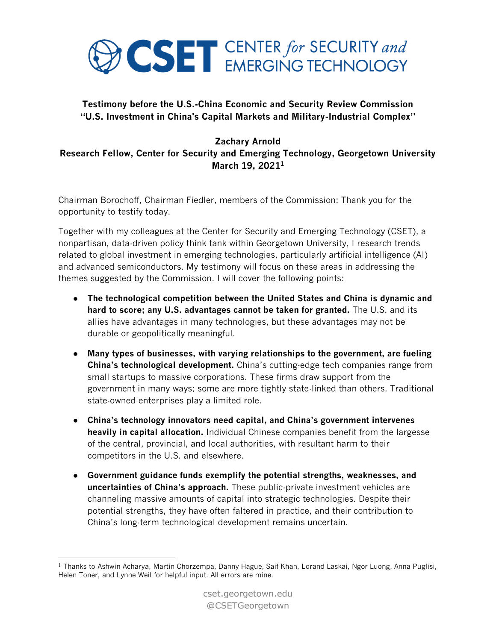

## **Testimony before the U.S.-China Economic and Security Review Commission "U.S. Investment in China's Capital Markets and Military-Industrial Complex"**

## **Zachary Arnold**

**Research Fellow, Center for Security and Emerging Technology, Georgetown University March 19, 2021<sup>1</sup>**

Chairman Borochoff, Chairman Fiedler, members of the Commission: Thank you for the opportunity to testify today.

Together with my colleagues at the Center for Security and Emerging Technology (CSET), a nonpartisan, data-driven policy think tank within Georgetown University, I research trends related to global investment in emerging technologies, particularly artificial intelligence (AI) and advanced semiconductors. My testimony will focus on these areas in addressing the themes suggested by the Commission. I will cover the following points:

- **The technological competition between the United States and China is dynamic and hard to score; any U.S. advantages cannot be taken for granted.** The U.S. and its allies have advantages in many technologies, but these advantages may not be durable or geopolitically meaningful.
- **Many types of businesses, with varying relationships to the government, are fueling China's technological development.** China's cutting-edge tech companies range from small startups to massive corporations. These firms draw support from the government in many ways; some are more tightly state-linked than others. Traditional state-owned enterprises play a limited role.
- **China's technology innovators need capital, and China's government intervenes heavily in capital allocation.** Individual Chinese companies benefit from the largesse of the central, provincial, and local authorities, with resultant harm to their competitors in the U.S. and elsewhere.
- **Government guidance funds exemplify the potential strengths, weaknesses, and uncertainties of China's approach.** These public-private investment vehicles are channeling massive amounts of capital into strategic technologies. Despite their potential strengths, they have often faltered in practice, and their contribution to China's long-term technological development remains uncertain.

<sup>&</sup>lt;sup>1</sup> Thanks to Ashwin Acharya, Martin Chorzempa, Danny Hague, Saif Khan, Lorand Laskai, Ngor Luong, Anna Puglisi, Helen Toner, and Lynne Weil for helpful input. All errors are mine.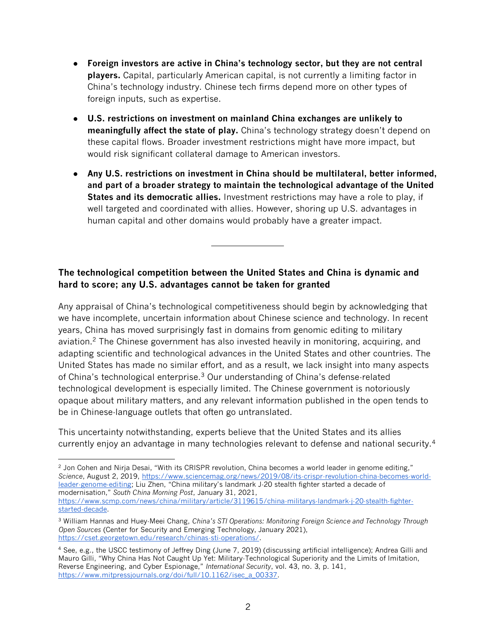- **Foreign investors are active in China's technology sector, but they are not central players.** Capital, particularly American capital, is not currently a limiting factor in China's technology industry. Chinese tech firms depend more on other types of foreign inputs, such as expertise.
- **U.S. restrictions on investment on mainland China exchanges are unlikely to meaningfully affect the state of play.** China's technology strategy doesn't depend on these capital flows. Broader investment restrictions might have more impact, but would risk significant collateral damage to American investors.
- **Any U.S. restrictions on investment in China should be multilateral, better informed, and part of a broader strategy to maintain the technological advantage of the United States and its democratic allies.** Investment restrictions may have a role to play, if well targeted and coordinated with allies. However, shoring up U.S. advantages in human capital and other domains would probably have a greater impact.

# **The technological competition between the United States and China is dynamic and hard to score; any U.S. advantages cannot be taken for granted**

Any appraisal of China's technological competitiveness should begin by acknowledging that we have incomplete, uncertain information about Chinese science and technology. In recent years, China has moved surprisingly fast in domains from genomic editing to military aviation.<sup>2</sup> The Chinese government has also invested heavily in monitoring, acquiring, and adapting scientific and technological advances in the United States and other countries. The United States has made no similar effort, and as a result, we lack insight into many aspects of China's technological enterprise.<sup>3</sup> Our understanding of China's defense-related technological development is especially limited. The Chinese government is notoriously opaque about military matters, and any relevant information published in the open tends to be in Chinese-language outlets that often go untranslated.

This uncertainty notwithstanding, experts believe that the United States and its allies currently enjoy an advantage in many technologies relevant to defense and national security.<sup>4</sup>

<sup>&</sup>lt;sup>2</sup> Jon Cohen and Nirja Desai, "With its CRISPR revolution, China becomes a world leader in genome editing," *Science*, August 2, 2019, [https://www.sciencemag.org/news/2019/08/its-crispr-revolution-china-becomes-world](https://www.sciencemag.org/news/2019/08/its-crispr-revolution-china-becomes-world-leader-genome-editing)[leader-genome-editing](https://www.sciencemag.org/news/2019/08/its-crispr-revolution-china-becomes-world-leader-genome-editing); Liu Zhen, "China military's landmark J-20 stealth fighter started a decade of modernisation," *South China Morning Post*, January 31, 2021, [https://www.scmp.com/news/china/military/article/3119615/china-militarys-landmark-j-20-stealth-fighter-](https://www.scmp.com/news/china/military/article/3119615/china-militarys-landmark-j-20-stealth-fighter-started-decade)

[started-decade.](https://www.scmp.com/news/china/military/article/3119615/china-militarys-landmark-j-20-stealth-fighter-started-decade)

<sup>3</sup> William Hannas and Huey-Meei Chang, *China's STI Operations: Monitoring Foreign Science and Technology Through Open Sources* (Center for Security and Emerging Technology, January 2021), [https://cset.georgetown.edu/research/chinas-sti-operations/.](https://cset.georgetown.edu/research/chinas-sti-operations/)

<sup>4</sup> See, e.g., the USCC testimony of Jeffrey Ding (June 7, 2019) (discussing artificial intelligence); Andrea Gilli and Mauro Gilli, "Why China Has Not Caught Up Yet: Military-Technological Superiority and the Limits of Imitation, Reverse Engineering, and Cyber Espionage," *International Security*, vol. 43, no. 3, p. 141, [https://www.mitpressjournals.org/doi/full/10.1162/isec\\_a\\_00337.](https://www.mitpressjournals.org/doi/full/10.1162/isec_a_00337)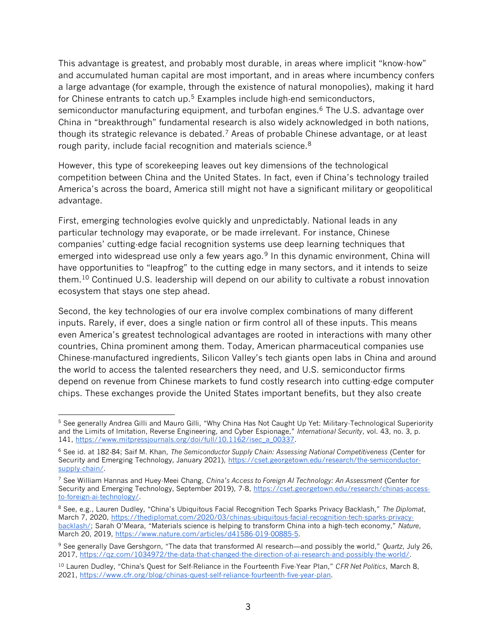This advantage is greatest, and probably most durable, in areas where implicit "know-how" and accumulated human capital are most important, and in areas where incumbency confers a large advantage (for example, through the existence of natural monopolies), making it hard for Chinese entrants to catch up.<sup>5</sup> Examples include high-end semiconductors, semiconductor manufacturing equipment, and turbofan engines.<sup>6</sup> The U.S. advantage over China in "breakthrough" fundamental research is also widely acknowledged in both nations, though its strategic relevance is debated.<sup>7</sup> Areas of probable Chinese advantage, or at least rough parity, include facial recognition and materials science.<sup>8</sup>

However, this type of scorekeeping leaves out key dimensions of the technological competition between China and the United States. In fact, even if China's technology trailed America's across the board, America still might not have a significant military or geopolitical advantage.

First, emerging technologies evolve quickly and unpredictably. National leads in any particular technology may evaporate, or be made irrelevant. For instance, Chinese companies' cutting-edge facial recognition systems use deep learning techniques that emerged into widespread use only a few years ago.<sup>9</sup> In this dynamic environment, China will have opportunities to "leapfrog" to the cutting edge in many sectors, and it intends to seize them.<sup>10</sup> Continued U.S. leadership will depend on our ability to cultivate a robust innovation ecosystem that stays one step ahead.

Second, the key technologies of our era involve complex combinations of many different inputs. Rarely, if ever, does a single nation or firm control all of these inputs. This means even America's greatest technological advantages are rooted in interactions with many other countries, China prominent among them. Today, American pharmaceutical companies use Chinese-manufactured ingredients, Silicon Valley's tech giants open labs in China and around the world to access the talented researchers they need, and U.S. semiconductor firms depend on revenue from Chinese markets to fund costly research into cutting-edge computer chips. These exchanges provide the United States important benefits, but they also create

<sup>5</sup> See generally Andrea Gilli and Mauro Gilli, "Why China Has Not Caught Up Yet: Military-Technological Superiority and the Limits of Imitation, Reverse Engineering, and Cyber Espionage," *International Security*, vol. 43, no. 3, p. 141, [https://www.mitpressjournals.org/doi/full/10.1162/isec\\_a\\_00337.](https://www.mitpressjournals.org/doi/full/10.1162/isec_a_00337)

<sup>6</sup> See id. at 182-84; Saif M. Khan, *The Semiconductor Supply Chain: Assessing National Competitiveness* (Center for Security and Emerging Technology, January 2021), [https://cset.georgetown.edu/research/the-semiconductor](https://cset.georgetown.edu/research/the-semiconductor-supply-chain/)[supply-chain/.](https://cset.georgetown.edu/research/the-semiconductor-supply-chain/)

<sup>7</sup> See William Hannas and Huey-Meei Chang, *China's Access to Foreign AI Technology: An Assessment* (Center for Security and Emerging Technology, September 2019), 7-8, [https://cset.georgetown.edu/research/chinas-access](https://cset.georgetown.edu/research/chinas-access-to-foreign-ai-technology/)[to-foreign-ai-technology/.](https://cset.georgetown.edu/research/chinas-access-to-foreign-ai-technology/)

<sup>8</sup> See, e.g., Lauren Dudley, "China's Ubiquitous Facial Recognition Tech Sparks Privacy Backlash," *The Diplomat*, March 7, 2020, [https://thediplomat.com/2020/03/chinas-ubiquitous-facial-recognition-tech-sparks-privacy](https://thediplomat.com/2020/03/chinas-ubiquitous-facial-recognition-tech-sparks-privacy-backlash/)[backlash/](https://thediplomat.com/2020/03/chinas-ubiquitous-facial-recognition-tech-sparks-privacy-backlash/); Sarah O'Meara, "Materials science is helping to transform China into a high-tech economy," *Nature*, March 20, 2019, [https://www.nature.com/articles/d41586-019-00885-5.](https://www.nature.com/articles/d41586-019-00885-5)

<sup>9</sup> See generally Dave Gershgorn, "The data that transformed AI research—and possibly the world," *Quartz*, July 26, 2017, [https://qz.com/1034972/the-data-that-changed-the-direction-of-ai-research-and-possibly-the-world/.](https://qz.com/1034972/the-data-that-changed-the-direction-of-ai-research-and-possibly-the-world/)

<sup>10</sup> Lauren Dudley, "China's Quest for Self-Reliance in the Fourteenth Five-Year Plan," *CFR Net Politics*, March 8, 2021, [https://www.cfr.org/blog/chinas-quest-self-reliance-fourteenth-five-year-plan.](https://www.cfr.org/blog/chinas-quest-self-reliance-fourteenth-five-year-plan)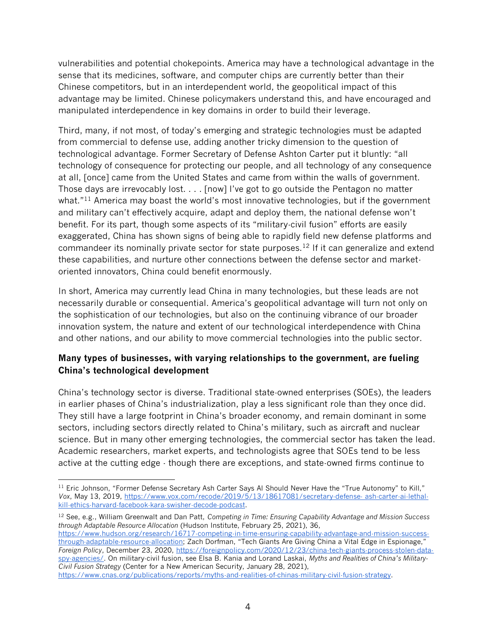vulnerabilities and potential chokepoints. America may have a technological advantage in the sense that its medicines, software, and computer chips are currently better than their Chinese competitors, but in an interdependent world, the geopolitical impact of this advantage may be limited. Chinese policymakers understand this, and have encouraged and manipulated interdependence in key domains in order to build their leverage.

Third, many, if not most, of today's emerging and strategic technologies must be adapted from commercial to defense use, adding another tricky dimension to the question of technological advantage. Former Secretary of Defense Ashton Carter put it bluntly: "all technology of consequence for protecting our people, and all technology of any consequence at all, [once] came from the United States and came from within the walls of government. Those days are irrevocably lost. . . . [now] I've got to go outside the Pentagon no matter what."<sup>11</sup> America may boast the world's most innovative technologies, but if the government and military can't effectively acquire, adapt and deploy them, the national defense won't benefit. For its part, though some aspects of its "military-civil fusion" efforts are easily exaggerated, China has shown signs of being able to rapidly field new defense platforms and commandeer its nominally private sector for state purposes.<sup>12</sup> If it can generalize and extend these capabilities, and nurture other connections between the defense sector and marketoriented innovators, China could benefit enormously.

In short, America may currently lead China in many technologies, but these leads are not necessarily durable or consequential. America's geopolitical advantage will turn not only on the sophistication of our technologies, but also on the continuing vibrance of our broader innovation system, the nature and extent of our technological interdependence with China and other nations, and our ability to move commercial technologies into the public sector.

### **Many types of businesses, with varying relationships to the government, are fueling China's technological development**

China's technology sector is diverse. Traditional state-owned enterprises (SOEs), the leaders in earlier phases of China's industrialization, play a less significant role than they once did. They still have a large footprint in China's broader economy, and remain dominant in some sectors, including sectors directly related to China's military, such as aircraft and nuclear science. But in many other emerging technologies, the commercial sector has taken the lead. Academic researchers, market experts, and technologists agree that SOEs tend to be less active at the cutting edge - though there are exceptions, and state-owned firms continue to

<sup>12</sup> See, e.g., William Greenwalt and Dan Patt, *Competing in Time: Ensuring Capability Advantage and Mission Success through Adaptable Resource Allocation* (Hudson Institute, February 25, 2021), 36, [https://www.hudson.org/research/16717-competing-in-time-ensuring-capability-advantage-and-mission-success](https://www.hudson.org/research/16717-competing-in-time-ensuring-capability-advantage-and-mission-success-through-adaptable-resource-allocation)[through-adaptable-resource-allocation](https://www.hudson.org/research/16717-competing-in-time-ensuring-capability-advantage-and-mission-success-through-adaptable-resource-allocation); Zach Dorfman, "Tech Giants Are Giving China a Vital Edge in Espionage," *Foreign Policy*, December 23, 2020, [https://foreignpolicy.com/2020/12/23/china-tech-giants-process-stolen-data](https://foreignpolicy.com/2020/12/23/china-tech-giants-process-stolen-data-spy-agencies/)[spy-agencies/.](https://foreignpolicy.com/2020/12/23/china-tech-giants-process-stolen-data-spy-agencies/) On military-civil fusion, see Elsa B. Kania and Lorand Laskai, *Myths and Realities of China's Military-Civil Fusion Strategy* (Center for a New American Security, January 28, 2021), [https://www.cnas.org/publications/reports/myths-and-realities-of-chinas-military-civil-fusion-strategy.](https://www.cnas.org/publications/reports/myths-and-realities-of-chinas-military-civil-fusion-strategy)

<sup>&</sup>lt;sup>11</sup> Eric Johnson, "Former Defense Secretary Ash Carter Says AI Should Never Have the "True Autonomy" to Kill," *Vox*, May 13, 2019, [https://www.vox.com/recode/2019/5/13/18617081/secretary-defense-](https://www.vox.com/recode/2019/5/13/18617081/secretary-defense-%20ash-carter-ai-lethal-kill-ethics-harvard-facebook-kara-swisher-decode-podcast) ash-carter-ai-lethal[kill-ethics-harvard-facebook-kara-swisher-decode-podcast.](https://www.vox.com/recode/2019/5/13/18617081/secretary-defense-%20ash-carter-ai-lethal-kill-ethics-harvard-facebook-kara-swisher-decode-podcast)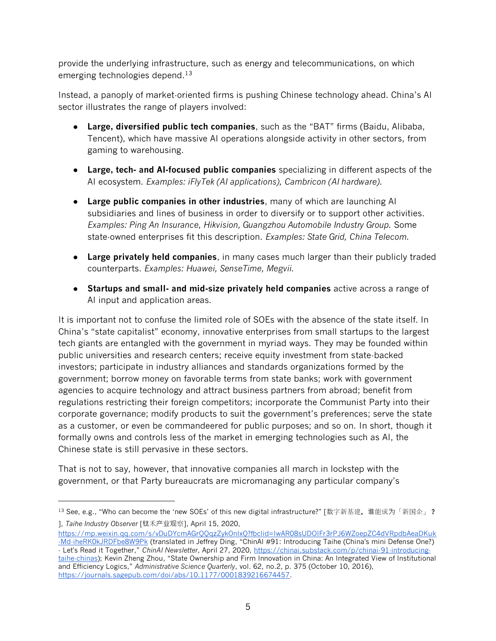provide the underlying infrastructure, such as energy and telecommunications, on which emerging technologies depend.<sup>13</sup>

Instead, a panoply of market-oriented firms is pushing Chinese technology ahead. China's AI sector illustrates the range of players involved:

- **Large, diversified public tech companies**, such as the "BAT" firms (Baidu, Alibaba, Tencent), which have massive AI operations alongside activity in other sectors, from gaming to warehousing.
- **Large, tech- and AI-focused public companies** specializing in different aspects of the AI ecosystem. *Examples: iFlyTek (AI applications), Cambricon (AI hardware).*
- **Large public companies in other industries**, many of which are launching AI subsidiaries and lines of business in order to diversify or to support other activities. *Examples: Ping An Insurance, Hikvision, Guangzhou Automobile Industry Group.* Some state-owned enterprises fit this description. *Examples: State Grid, China Telecom.*
- **Large privately held companies**, in many cases much larger than their publicly traded counterparts. *Examples: Huawei, SenseTime, Megvii.*
- **Startups and small- and mid-size privately held companies** active across a range of AI input and application areas.

It is important not to confuse the limited role of SOEs with the absence of the state itself. In China's "state capitalist" economy, innovative enterprises from small startups to the largest tech giants are entangled with the government in myriad ways. They may be founded within public universities and research centers; receive equity investment from state-backed investors; participate in industry alliances and standards organizations formed by the government; borrow money on favorable terms from state banks; work with government agencies to acquire technology and attract business partners from abroad; benefit from regulations restricting their foreign competitors; incorporate the Communist Party into their corporate governance; modify products to suit the government's preferences; serve the state as a customer, or even be commandeered for public purposes; and so on. In short, though it formally owns and controls less of the market in emerging technologies such as AI, the Chinese state is still pervasive in these sectors.

That is not to say, however, that innovative companies all march in lockstep with the government, or that Party bureaucrats are micromanaging any particular company's

[https://mp.weixin.qq.com/s/vDuDYcmAGrQQqzZykOnlxQ?fbclid=IwAR08sUDOIFr3rPJ6WZoepZC4dVRpdbAeaDKuk](https://mp.weixin.qq.com/s/vDuDYcmAGrQQqzZykOnlxQ?fbclid=IwAR08sUDOIFr3rPJ6WZoepZC4dVRpdbAeaDKuk-Md-iheRK0kJRDFbe8W9Pk) [-Md-iheRK0kJRDFbe8W9Pk](https://mp.weixin.qq.com/s/vDuDYcmAGrQQqzZykOnlxQ?fbclid=IwAR08sUDOIFr3rPJ6WZoepZC4dVRpdbAeaDKuk-Md-iheRK0kJRDFbe8W9Pk) (translated in Jeffrey Ding, "ChinAI #91: Introducing Taihe (China's mini Defense One?)

- Let's Read it Together," *ChinAI Newsletter*, April 27, 2020, [https://chinai.substack.com/p/chinai-91-introducing](https://chinai.substack.com/p/chinai-91-introducing-taihe-chinas)[taihe-chinas](https://chinai.substack.com/p/chinai-91-introducing-taihe-chinas)); Kevin Zheng Zhou, "State Ownership and Firm Innovation in China: An Integrated View of Institutional and Efficiency Logics," *Administrative Science Quarterly*, vol. 62, no.2, p. 375 (October 10, 2016), [https://journals.sagepub.com/doi/abs/10.1177/0001839216674457.](https://journals.sagepub.com/doi/abs/10.1177/0001839216674457)

<sup>&</sup>lt;sup>13</sup> See, e.g., "Who can become the 'new SOEs' of this new digital infrastructure?" [数字新基建, 谁能成为「新国企」? ], *Taihe Industry Observer* [钛禾产业观察], April 15, 2020,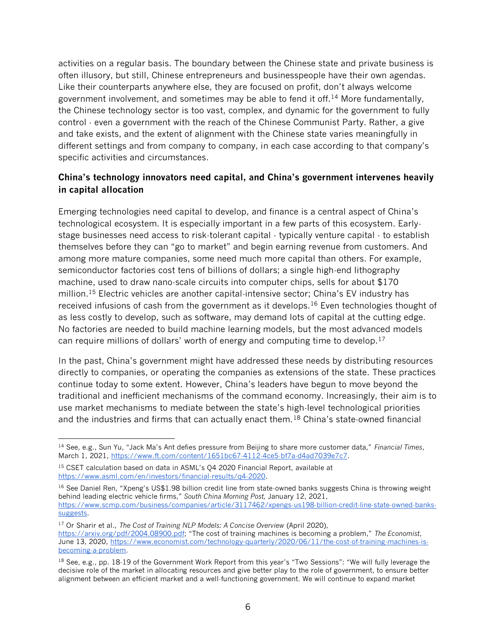activities on a regular basis. The boundary between the Chinese state and private business is often illusory, but still, Chinese entrepreneurs and businesspeople have their own agendas. Like their counterparts anywhere else, they are focused on profit, don't always welcome government involvement, and sometimes may be able to fend it off.<sup>14</sup> More fundamentally, the Chinese technology sector is too vast, complex, and dynamic for the government to fully control - even a government with the reach of the Chinese Communist Party. Rather, a give and take exists, and the extent of alignment with the Chinese state varies meaningfully in different settings and from company to company, in each case according to that company's specific activities and circumstances.

#### **China's technology innovators need capital, and China's government intervenes heavily in capital allocation**

Emerging technologies need capital to develop, and finance is a central aspect of China's technological ecosystem. It is especially important in a few parts of this ecosystem. Earlystage businesses need access to risk-tolerant capital - typically venture capital - to establish themselves before they can "go to market" and begin earning revenue from customers. And among more mature companies, some need much more capital than others. For example, semiconductor factories cost tens of billions of dollars; a single high-end lithography machine, used to draw nano-scale circuits into computer chips, sells for about \$170 million.<sup>15</sup> Electric vehicles are another capital-intensive sector; China's EV industry has received infusions of cash from the government as it develops.<sup>16</sup> Even technologies thought of as less costly to develop, such as software, may demand lots of capital at the cutting edge. No factories are needed to build machine learning models, but the most advanced models can require millions of dollars' worth of energy and computing time to develop.<sup>17</sup>

In the past, China's government might have addressed these needs by distributing resources directly to companies, or operating the companies as extensions of the state. These practices continue today to some extent. However, China's leaders have begun to move beyond the traditional and inefficient mechanisms of the command economy. Increasingly, their aim is to use market mechanisms to mediate between the state's high-level technological priorities and the industries and firms that can actually enact them.<sup>18</sup> China's state-owned financial

<sup>14</sup> See, e.g., Sun Yu, "Jack Ma's Ant defies pressure from Beijing to share more customer data," *Financial Times*, March 1, 2021, [https://www.ft.com/content/1651bc67-4112-4ce5-bf7a-d4ad7039e7c7.](https://www.ft.com/content/1651bc67-4112-4ce5-bf7a-d4ad7039e7c7)

<sup>&</sup>lt;sup>15</sup> CSET calculation based on data in ASML's Q4 2020 Financial Report, available at [https://www.asml.com/en/investors/financial-results/q4-2020.](https://www.asml.com/en/investors/financial-results/q4-2020)

<sup>&</sup>lt;sup>16</sup> See Daniel Ren, "Xpeng's US\$1.98 billion credit line from state-owned banks suggests China is throwing weight behind leading electric vehicle firms," *South China Morning Post,* January 12, 2021, [https://www.scmp.com/business/companies/article/3117462/xpengs-us198-billion-credit-line-state-owned-banks](https://www.scmp.com/business/companies/article/3117462/xpengs-us198-billion-credit-line-state-owned-banks-suggests)[suggests.](https://www.scmp.com/business/companies/article/3117462/xpengs-us198-billion-credit-line-state-owned-banks-suggests)

<sup>17</sup> Or Sharir et al., *The Cost of Training NLP Models: A Concise Overview* (April 2020), <https://arxiv.org/pdf/2004.08900.pdf>; "The cost of training machines is becoming a problem," *The Economist*, June 13, 2020, [https://www.economist.com/technology-quarterly/2020/06/11/the-cost-of-training-machines-is](https://www.economist.com/technology-quarterly/2020/06/11/the-cost-of-training-machines-is-becoming-a-problem)[becoming-a-problem.](https://www.economist.com/technology-quarterly/2020/06/11/the-cost-of-training-machines-is-becoming-a-problem)

<sup>&</sup>lt;sup>18</sup> See, e.g., pp. 18-19 of the Government Work Report from this year's "Two Sessions": "We will fully leverage the decisive role of the market in allocating resources and give better play to the role of government, to ensure better alignment between an efficient market and a well-functioning government. We will continue to expand market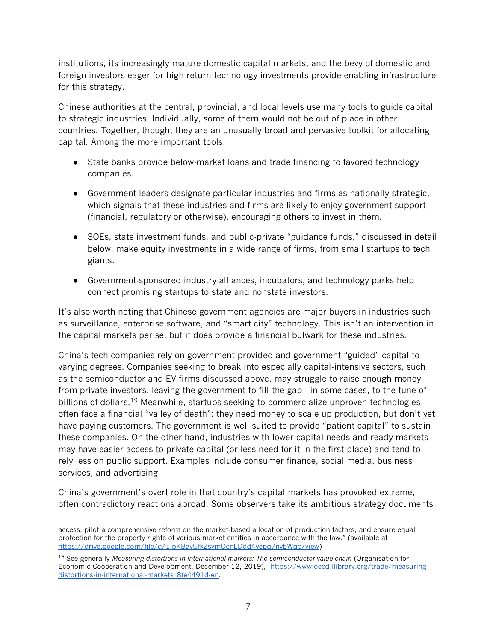institutions, its increasingly mature domestic capital markets, and the bevy of domestic and foreign investors eager for high-return technology investments provide enabling infrastructure for this strategy.

Chinese authorities at the central, provincial, and local levels use many tools to guide capital to strategic industries. Individually, some of them would not be out of place in other countries. Together, though, they are an unusually broad and pervasive toolkit for allocating capital. Among the more important tools:

- State banks provide below-market loans and trade financing to favored technology companies.
- Government leaders designate particular industries and firms as nationally strategic, which signals that these industries and firms are likely to enjoy government support (financial, regulatory or otherwise), encouraging others to invest in them.
- SOEs, state investment funds, and public-private "guidance funds," discussed in detail below, make equity investments in a wide range of firms, from small startups to tech giants.
- Government-sponsored industry alliances, incubators, and technology parks help connect promising startups to state and nonstate investors.

It's also worth noting that Chinese government agencies are major buyers in industries such as surveillance, enterprise software, and "smart city" technology. This isn't an intervention in the capital markets per se, but it does provide a financial bulwark for these industries.

China's tech companies rely on government-provided and government-"guided" capital to varying degrees. Companies seeking to break into especially capital-intensive sectors, such as the semiconductor and EV firms discussed above, may struggle to raise enough money from private investors, leaving the government to fill the gap  $\cdot$  in some cases, to the tune of billions of dollars.<sup>19</sup> Meanwhile, startups seeking to commercialize unproven technologies often face a financial "valley of death": they need money to scale up production, but don't yet have paying customers. The government is well suited to provide "patient capital" to sustain these companies. On the other hand, industries with lower capital needs and ready markets may have easier access to private capital (or less need for it in the first place) and tend to rely less on public support. Examples include consumer finance, social media, business services, and advertising.

China's government's overt role in that country's capital markets has provoked extreme, often contradictory reactions abroad. Some observers take its ambitious strategy documents

access, pilot a comprehensive reform on the market-based allocation of production factors, and ensure equal protection for the property rights of various market entities in accordance with the law." (available at [https://drive.google.com/file/d/1lpKBavUfkZsvmQcnLDdd4yepq7nvbWqp/view\)](https://drive.google.com/file/d/1lpKBavUfkZsvmQcnLDdd4yepq7nvbWqp/view)

<sup>19</sup> See generally *Measuring distortions in international markets: The semiconductor value chain* (Organisation for Economic Cooperation and Development, December 12, 2019), [https://www.oecd-ilibrary.org/trade/measuring](https://www.oecd-ilibrary.org/trade/measuring-distortions-in-international-markets_8fe4491d-en)[distortions-in-international-markets\\_8fe4491d-en.](https://www.oecd-ilibrary.org/trade/measuring-distortions-in-international-markets_8fe4491d-en)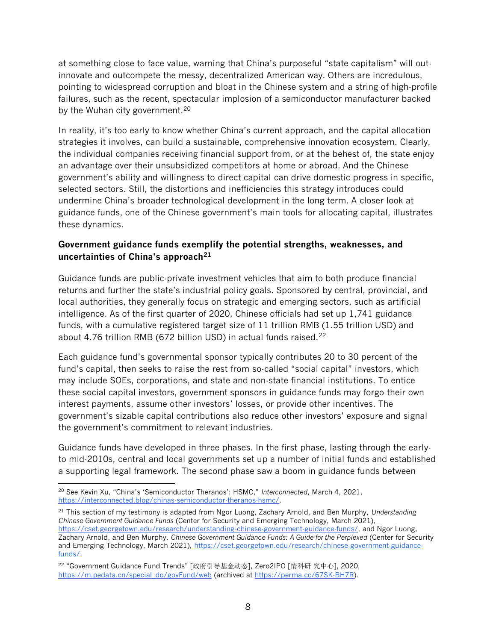at something close to face value, warning that China's purposeful "state capitalism" will outinnovate and outcompete the messy, decentralized American way. Others are incredulous, pointing to widespread corruption and bloat in the Chinese system and a string of high-profile failures, such as the recent, spectacular implosion of a semiconductor manufacturer backed by the Wuhan city government.<sup>20</sup>

In reality, it's too early to know whether China's current approach, and the capital allocation strategies it involves, can build a sustainable, comprehensive innovation ecosystem. Clearly, the individual companies receiving financial support from, or at the behest of, the state enjoy an advantage over their unsubsidized competitors at home or abroad. And the Chinese government's ability and willingness to direct capital can drive domestic progress in specific, selected sectors. Still, the distortions and inefficiencies this strategy introduces could undermine China's broader technological development in the long term. A closer look at guidance funds, one of the Chinese government's main tools for allocating capital, illustrates these dynamics.

### **Government guidance funds exemplify the potential strengths, weaknesses, and uncertainties of China's approach<sup>21</sup>**

Guidance funds are public-private investment vehicles that aim to both produce financial returns and further the state's industrial policy goals. Sponsored by central, provincial, and local authorities, they generally focus on strategic and emerging sectors, such as artificial intelligence. As of the first quarter of 2020, Chinese officials had set up 1,741 guidance funds, with a cumulative registered target size of 11 trillion RMB (1.55 trillion USD) and about 4.76 trillion RMB (672 billion USD) in actual funds raised.<sup>22</sup>

Each guidance fund's governmental sponsor typically contributes 20 to 30 percent of the fund's capital, then seeks to raise the rest from so-called "social capital" investors, which may include SOEs, corporations, and state and non-state financial institutions. To entice these social capital investors, government sponsors in guidance funds may forgo their own interest payments, assume other investors' losses, or provide other incentives. The government's sizable capital contributions also reduce other investors' exposure and signal the government's commitment to relevant industries.

Guidance funds have developed in three phases. In the first phase, lasting through the earlyto mid-2010s, central and local governments set up a number of initial funds and established a supporting legal framework. The second phase saw a boom in guidance funds between

<sup>20</sup> See Kevin Xu, "China's 'Semiconductor Theranos': HSMC," *Interconnected*, March 4, 2021, [https://interconnected.blog/chinas-semiconductor-theranos-hsmc/.](https://interconnected.blog/chinas-semiconductor-theranos-hsmc/)

<sup>21</sup> This section of my testimony is adapted from Ngor Luong, Zachary Arnold, and Ben Murphy, *Understanding Chinese Government Guidance Funds* (Center for Security and Emerging Technology, March 2021), [https://cset.georgetown.edu/research/understanding-chinese-government-guidance-funds/,](https://cset.georgetown.edu/research/understanding-chinese-government-guidance-funds/) and Ngor Luong, Zachary Arnold, and Ben Murphy, *Chinese Government Guidance Funds: A Guide for the Perplexed* (Center for Security and Emerging Technology, March 2021), [https://cset.georgetown.edu/research/chinese-government-guidance](https://cset.georgetown.edu/research/chinese-government-guidance-funds/)[funds/.](https://cset.georgetown.edu/research/chinese-government-guidance-funds/)

<sup>22</sup> "Government Guidance Fund Trends" [政府引导基金动态], Zero2IPO [情科研 究中心], 2020, [https://m.pedata.cn/special\\_do/govFund/web](https://m.pedata.cn/special_do/govFund/web) (archived at [https://perma.cc/67SK-BH7R\)](https://perma.cc/67SK-BH7R).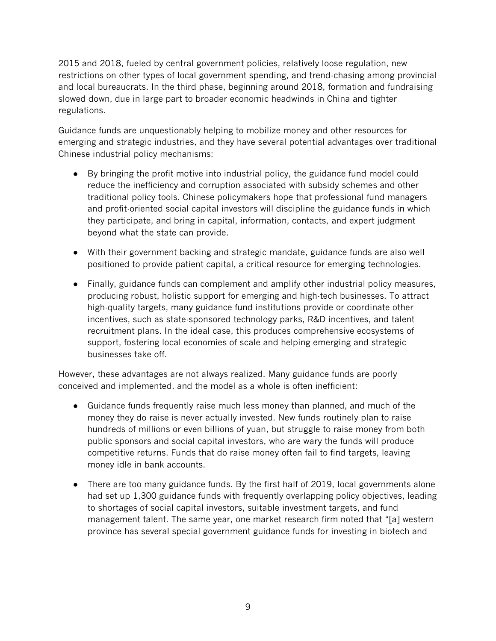2015 and 2018, fueled by central government policies, relatively loose regulation, new restrictions on other types of local government spending, and trend-chasing among provincial and local bureaucrats. In the third phase, beginning around 2018, formation and fundraising slowed down, due in large part to broader economic headwinds in China and tighter regulations.

Guidance funds are unquestionably helping to mobilize money and other resources for emerging and strategic industries, and they have several potential advantages over traditional Chinese industrial policy mechanisms:

- By bringing the profit motive into industrial policy, the guidance fund model could reduce the inefficiency and corruption associated with subsidy schemes and other traditional policy tools. Chinese policymakers hope that professional fund managers and profit-oriented social capital investors will discipline the guidance funds in which they participate, and bring in capital, information, contacts, and expert judgment beyond what the state can provide.
- With their government backing and strategic mandate, guidance funds are also well positioned to provide patient capital, a critical resource for emerging technologies.
- Finally, guidance funds can complement and amplify other industrial policy measures, producing robust, holistic support for emerging and high-tech businesses. To attract high-quality targets, many guidance fund institutions provide or coordinate other incentives, such as state-sponsored technology parks, R&D incentives, and talent recruitment plans. In the ideal case, this produces comprehensive ecosystems of support, fostering local economies of scale and helping emerging and strategic businesses take off.

However, these advantages are not always realized. Many guidance funds are poorly conceived and implemented, and the model as a whole is often inefficient:

- Guidance funds frequently raise much less money than planned, and much of the money they do raise is never actually invested. New funds routinely plan to raise hundreds of millions or even billions of yuan, but struggle to raise money from both public sponsors and social capital investors, who are wary the funds will produce competitive returns. Funds that do raise money often fail to find targets, leaving money idle in bank accounts.
- There are too many guidance funds. By the first half of 2019, local governments alone had set up 1,300 guidance funds with frequently overlapping policy objectives, leading to shortages of social capital investors, suitable investment targets, and fund management talent. The same year, one market research firm noted that "[a] western province has several special government guidance funds for investing in biotech and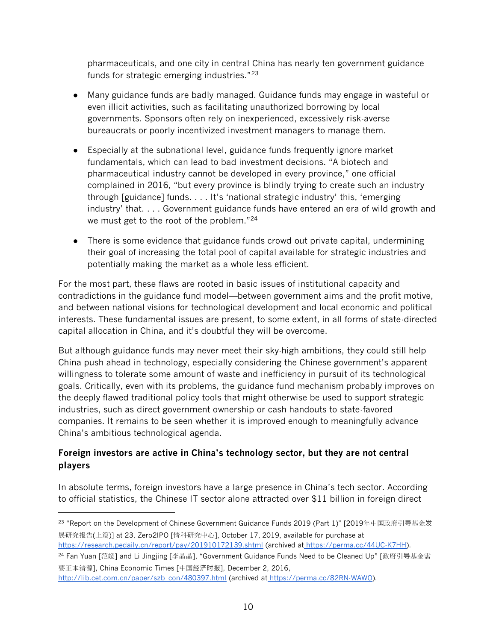pharmaceuticals, and one city in central China has nearly ten government guidance funds for strategic emerging industries."<sup>23</sup>

- Many guidance funds are badly managed. Guidance funds may engage in wasteful or even illicit activities, such as facilitating unauthorized borrowing by local governments. Sponsors often rely on inexperienced, excessively risk-averse bureaucrats or poorly incentivized investment managers to manage them.
- Especially at the subnational level, guidance funds frequently ignore market fundamentals, which can lead to bad investment decisions. "A biotech and pharmaceutical industry cannot be developed in every province," one official complained in 2016, "but every province is blindly trying to create such an industry through [guidance] funds. . . . It's 'national strategic industry' this, 'emerging industry' that. . . . Government guidance funds have entered an era of wild growth and we must get to the root of the problem."<sup>24</sup>
- There is some evidence that guidance funds crowd out private capital, undermining their goal of increasing the total pool of capital available for strategic industries and potentially making the market as a whole less efficient.

For the most part, these flaws are rooted in basic issues of institutional capacity and contradictions in the guidance fund model—between government aims and the profit motive, and between national visions for technological development and local economic and political interests. These fundamental issues are present, to some extent, in all forms of state-directed capital allocation in China, and it's doubtful they will be overcome.

But although guidance funds may never meet their sky-high ambitions, they could still help China push ahead in technology, especially considering the Chinese government's apparent willingness to tolerate some amount of waste and inefficiency in pursuit of its technological goals. Critically, even with its problems, the guidance fund mechanism probably improves on the deeply flawed traditional policy tools that might otherwise be used to support strategic industries, such as direct government ownership or cash handouts to state-favored companies. It remains to be seen whether it is improved enough to meaningfully advance China's ambitious technological agenda.

## **Foreign investors are active in China's technology sector, but they are not central players**

In absolute terms, foreign investors have a large presence in China's tech sector. According to official statistics, the Chinese IT sector alone attracted over \$11 billion in foreign direct

<sup>24</sup> Fan Yuan [范媛] and Li Jingjing [李晶晶], "Government Guidance Funds Need to be Cleaned Up" [政府引导基金需 要正本清源], China Economic Times [中国经济时报], December 2, 2016[,](http://lib.cet.com.cn/paper/szb_con/480397.html)

<sup>23</sup> "Report on the Development of Chinese Government Guidance Funds 2019 (Part 1)" [2019年中国政府引导基金发 展研究报告(上篇)] at 23, Zero2IPO [情科研究中心], October 17, 2019, available for purchase a[t](https://research.pedaily.cn/report/pay/201910172139.shtml) <https://research.pedaily.cn/report/pay/201910172139.shtml> (archived at [https://perma.cc/44UC-K7HH\)](https://perma.cc/44UC-K7HH).

[http://lib.cet.com.cn/paper/szb\\_con/480397.html](http://lib.cet.com.cn/paper/szb_con/480397.html) (archived at [https://perma.cc/82RN-WAWQ\)](https://perma.cc/82RN-WAWQ).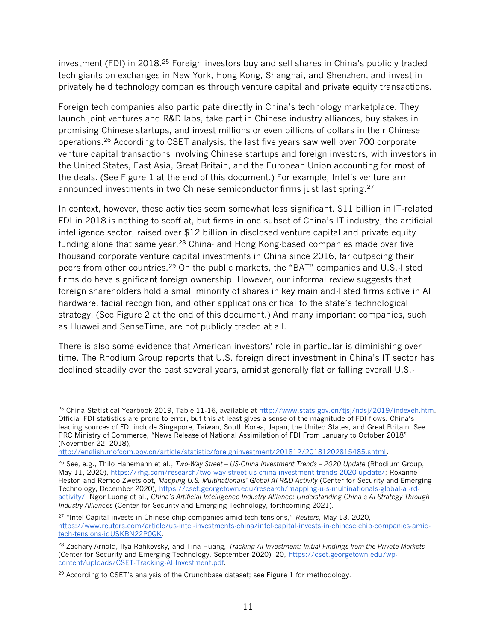investment (FDI) in 2018.<sup>25</sup> Foreign investors buy and sell shares in China's publicly traded tech giants on exchanges in New York, Hong Kong, Shanghai, and Shenzhen, and invest in privately held technology companies through venture capital and private equity transactions.

Foreign tech companies also participate directly in China's technology marketplace. They launch joint ventures and R&D labs, take part in Chinese industry alliances, buy stakes in promising Chinese startups, and invest millions or even billions of dollars in their Chinese operations.<sup>26</sup> According to CSET analysis, the last five years saw well over 700 corporate venture capital transactions involving Chinese startups and foreign investors, with investors in the United States, East Asia, Great Britain, and the European Union accounting for most of the deals. (See Figure 1 at the end of this document.) For example, Intel's venture arm announced investments in two Chinese semiconductor firms just last spring.<sup>27</sup>

In context, however, these activities seem somewhat less significant. \$11 billion in IT-related FDI in 2018 is nothing to scoff at, but firms in one subset of China's IT industry, the artificial intelligence sector, raised over \$12 billion in disclosed venture capital and private equity funding alone that same year.<sup>28</sup> China- and Hong Kong-based companies made over five thousand corporate venture capital investments in China since 2016, far outpacing their peers from other countries.<sup>29</sup> On the public markets, the "BAT" companies and U.S.-listed firms do have significant foreign ownership. However, our informal review suggests that foreign shareholders hold a small minority of shares in key mainland-listed firms active in AI hardware, facial recognition, and other applications critical to the state's technological strategy. (See Figure 2 at the end of this document.) And many important companies, such as Huawei and SenseTime, are not publicly traded at all.

There is also some evidence that American investors' role in particular is diminishing over time. The Rhodium Group reports that U.S. foreign direct investment in China's IT sector has declined steadily over the past several years, amidst generally flat or falling overall U.S.-

<sup>&</sup>lt;sup>25</sup> China Statistical Yearbook 2019, Table 11-16, available at [http://www.stats.gov.cn/tjsj/ndsj/2019/indexeh.htm.](http://www.stats.gov.cn/tjsj/ndsj/2019/indexeh.htm) Official FDI statistics are prone to error, but this at least gives a sense of the magnitude of FDI flows. China's leading sources of FDI include Singapore, Taiwan, South Korea, Japan, the United States, and Great Britain. See PRC Ministry of Commerce, "News Release of National Assimilation of FDI From January to October 2018" (November 22, 2018),

[http://english.mofcom.gov.cn/article/statistic/foreigninvestment/201812/20181202815485.shtml.](http://english.mofcom.gov.cn/article/statistic/foreigninvestment/201812/20181202815485.shtml)

<sup>26</sup> See, e.g., Thilo Hanemann et al., *Two-Way Street – US-China Investment Trends – 2020 Update* (Rhodium Group, May 11, 2020), [https://rhg.com/research/two-way-street-us-china-investment-trends-2020-update/;](https://rhg.com/research/two-way-street-us-china-investment-trends-2020-update/) Roxanne Heston and Remco Zwetsloot, *Mapping U.S. Multinationals' Global AI R&D Activity* (Center for Security and Emerging Technology, December 2020), [https://cset.georgetown.edu/research/mapping-u-s-multinationals-global-ai-rd](https://cset.georgetown.edu/research/mapping-u-s-multinationals-global-ai-rd-activity/)[activity/;](https://cset.georgetown.edu/research/mapping-u-s-multinationals-global-ai-rd-activity/) Ngor Luong et al., *China's Artificial Intelligence Industry Alliance: Understanding China's AI Strategy Through Industry Alliances* (Center for Security and Emerging Technology, forthcoming 2021).

<sup>27</sup> "Intel Capital invests in Chinese chip companies amid tech tensions," *Reuters*, May 13, 2020, [https://www.reuters.com/article/us-intel-investments-china/intel-capital-invests-in-chinese-chip-companies-amid](https://www.reuters.com/article/us-intel-investments-china/intel-capital-invests-in-chinese-chip-companies-amid-tech-tensions-idUSKBN22P0GK)[tech-tensions-idUSKBN22P0GK.](https://www.reuters.com/article/us-intel-investments-china/intel-capital-invests-in-chinese-chip-companies-amid-tech-tensions-idUSKBN22P0GK)

<sup>28</sup> Zachary Arnold, Ilya Rahkovsky, and Tina Huang, *Tracking AI Investment: Initial Findings from the Private Markets* (Center for Security and Emerging Technology, September 2020), 20, [https://cset.georgetown.edu/wp](https://cset.georgetown.edu/wp-content/uploads/CSET-Tracking-AI-Investment.pdf)[content/uploads/CSET-Tracking-AI-Investment.pdf.](https://cset.georgetown.edu/wp-content/uploads/CSET-Tracking-AI-Investment.pdf)

 $29$  According to CSET's analysis of the Crunchbase dataset; see Figure 1 for methodology.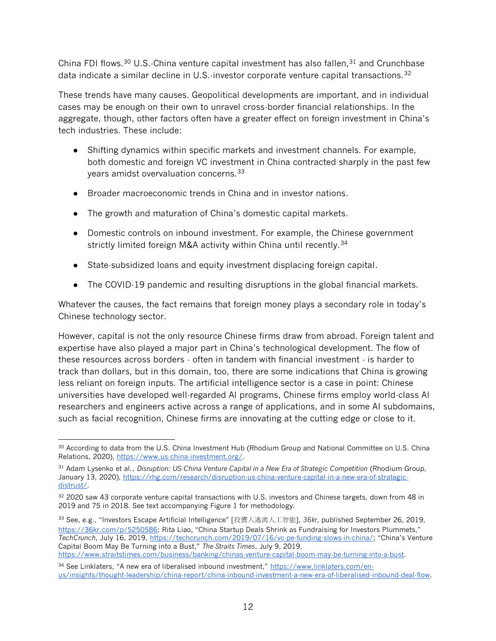China FDI flows.<sup>30</sup> U.S.-China venture capital investment has also fallen,<sup>31</sup> and Crunchbase data indicate a similar decline in U.S.-investor corporate venture capital transactions.<sup>32</sup>

These trends have many causes. Geopolitical developments are important, and in individual cases may be enough on their own to unravel cross-border financial relationships. In the aggregate, though, other factors often have a greater effect on foreign investment in China's tech industries. These include:

- Shifting dynamics within specific markets and investment channels. For example, both domestic and foreign VC investment in China contracted sharply in the past few years amidst overvaluation concerns.<sup>33</sup>
- Broader macroeconomic trends in China and in investor nations.
- The growth and maturation of China's domestic capital markets.
- Domestic controls on inbound investment. For example, the Chinese government strictly limited foreign M&A activity within China until recently.<sup>34</sup>
- State-subsidized loans and equity investment displacing foreign capital.
- The COVID-19 pandemic and resulting disruptions in the global financial markets.

Whatever the causes, the fact remains that foreign money plays a secondary role in today's Chinese technology sector.

However, capital is not the only resource Chinese firms draw from abroad. Foreign talent and expertise have also played a major part in China's technological development. The flow of these resources across borders - often in tandem with financial investment - is harder to track than dollars, but in this domain, too, there are some indications that China is growing less reliant on foreign inputs. The artificial intelligence sector is a case in point: Chinese universities have developed well-regarded AI programs, Chinese firms employ world-class AI researchers and engineers active across a range of applications, and in some AI subdomains, such as facial recognition, Chinese firms are innovating at the cutting edge or close to it.

<sup>33</sup> See, e.g., "Investors Escape Artificial Intelligence" [投资人逃离人工智能], *36kr*, published September 26, 2019, <https://36kr.com/p/5250586>; Rita Liao, "China Startup Deals Shrink as Fundraising for Investors Plummets," *TechCrunch*, July 16, 2019[, https://techcrunch.com/2019/07/16/vc-pe-funding-slows-in-china/](https://techcrunch.com/2019/07/16/vc-pe-funding-slows-in-china/); "China's Venture Capital Boom May Be Turning into a Bust," *The Straits Times*, July 9, 2019, [https://www.straitstimes.com/business/banking/chinas-venture-capital-boom-may-be-turning-into-a-bust.](https://www.straitstimes.com/business/banking/chinas-venture-capital-boom-may-be-turning-into-a-bust)

<sup>&</sup>lt;sup>30</sup> According to data from the U.S. China Investment Hub (Rhodium Group and National Committee on U.S. China Relations, 2020), [https://www.us-china-investment.org/.](https://www.us-china-investment.org/)

<sup>31</sup> Adam Lysenko et al., *Disruption: US-China Venture Capital in a New Era of Strategic Competition* (Rhodium Group, January 13, 2020), [https://rhg.com/research/disruption-us-china-venture-capital-in-a-new-era-of-strategic](https://rhg.com/research/disruption-us-china-venture-capital-in-a-new-era-of-strategic-distrust/)[distrust/.](https://rhg.com/research/disruption-us-china-venture-capital-in-a-new-era-of-strategic-distrust/)

<sup>32 2020</sup> saw 43 corporate venture capital transactions with U.S. investors and Chinese targets, down from 48 in 2019 and 75 in 2018. See text accompanying Figure 1 for methodology.

<sup>34</sup> See Linklaters, "A new era of liberalised inbound investment," [https://www.linklaters.com/en](https://www.linklaters.com/en-us/insights/thought-leadership/china-report/china-inbound-investment-a-new-era-of-liberalised-inbound-deal-flow)[us/insights/thought-leadership/china-report/china-inbound-investment-a-new-era-of-liberalised-inbound-deal-flow.](https://www.linklaters.com/en-us/insights/thought-leadership/china-report/china-inbound-investment-a-new-era-of-liberalised-inbound-deal-flow)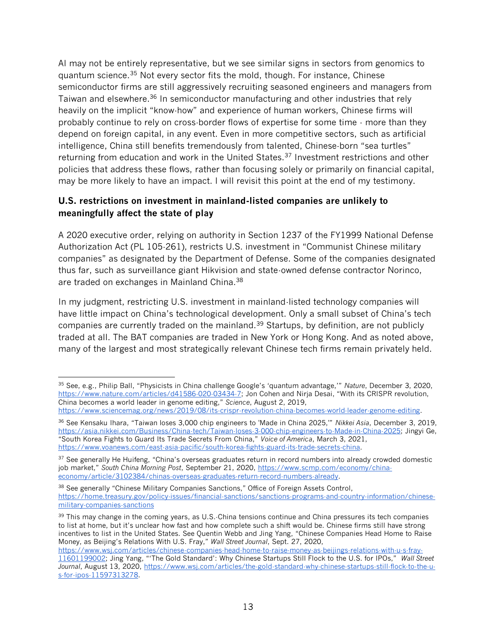AI may not be entirely representative, but we see similar signs in sectors from genomics to quantum science.<sup>35</sup> Not every sector fits the mold, though. For instance, Chinese semiconductor firms are still aggressively recruiting seasoned engineers and managers from Taiwan and elsewhere.<sup>36</sup> In semiconductor manufacturing and other industries that rely heavily on the implicit "know-how" and experience of human workers, Chinese firms will probably continue to rely on cross-border flows of expertise for some time - more than they depend on foreign capital, in any event. Even in more competitive sectors, such as artificial intelligence, China still benefits tremendously from talented, Chinese-born "sea turtles" returning from education and work in the United States.<sup>37</sup> Investment restrictions and other policies that address these flows, rather than focusing solely or primarily on financial capital, may be more likely to have an impact. I will revisit this point at the end of my testimony.

## **U.S. restrictions on investment in mainland-listed companies are unlikely to meaningfully affect the state of play**

A 2020 executive order, relying on authority in Section 1237 of the FY1999 National Defense Authorization Act (PL 105-261), restricts U.S. investment in "Communist Chinese military companies" as designated by the Department of Defense. Some of the companies designated thus far, such as surveillance giant Hikvision and state-owned defense contractor Norinco, are traded on exchanges in Mainland China.<sup>38</sup>

In my judgment, restricting U.S. investment in mainland-listed technology companies will have little impact on China's technological development. Only a small subset of China's tech companies are currently traded on the mainland.<sup>39</sup> Startups, by definition, are not publicly traded at all. The BAT companies are traded in New York or Hong Kong. And as noted above, many of the largest and most strategically relevant Chinese tech firms remain privately held.

<sup>35</sup> See, e.g., Philip Ball, "Physicists in China challenge Google's 'quantum advantage,'" *Nature*, December 3, 2020, <https://www.nature.com/articles/d41586-020-03434-7>; Jon Cohen and Nirja Desai, "With its CRISPR revolution, China becomes a world leader in genome editing," *Science*, August 2, 2019,

[https://www.sciencemag.org/news/2019/08/its-crispr-revolution-china-becomes-world-leader-genome-editing.](https://www.sciencemag.org/news/2019/08/its-crispr-revolution-china-becomes-world-leader-genome-editing)

<sup>36</sup> See Kensaku Ihara, "Taiwan loses 3,000 chip engineers to 'Made in China 2025,'" *Nikkei Asia*, December 3, 2019, [https://asia.nikkei.com/Business/China-tech/Taiwan-loses-3-000-chip-engineers-to-Made-in-China-2025;](https://asia.nikkei.com/Business/China-tech/Taiwan-loses-3-000-chip-engineers-to-Made-in-China-2025) Jingyi Ge, "South Korea Fights to Guard Its Trade Secrets From China," *Voice of America*, March 3, 2021, [https://www.voanews.com/east-asia-pacific/south-korea-fights-guard-its-trade-secrets-china.](https://www.voanews.com/east-asia-pacific/south-korea-fights-guard-its-trade-secrets-china)

<sup>&</sup>lt;sup>37</sup> See generally He Huifeng, "China's overseas graduates return in record numbers into already crowded domestic job market," *South China Morning Post*, September 21, 2020, [https://www.scmp.com/economy/china](https://www.scmp.com/economy/china-economy/article/3102384/chinas-overseas-graduates-return-record-numbers-already)[economy/article/3102384/chinas-overseas-graduates-return-record-numbers-already.](https://www.scmp.com/economy/china-economy/article/3102384/chinas-overseas-graduates-return-record-numbers-already)

<sup>38</sup> See generally "Chinese Military Companies Sanctions," Office of Foreign Assets Control, [https://home.treasury.gov/policy-issues/financial-sanctions/sanctions-programs-and-country-information/chinese](https://home.treasury.gov/policy-issues/financial-sanctions/sanctions-programs-and-country-information/chinese-military-companies-sanctions)[military-companies-sanctions](https://home.treasury.gov/policy-issues/financial-sanctions/sanctions-programs-and-country-information/chinese-military-companies-sanctions)

<sup>39</sup> This may change in the coming years, as U.S.-China tensions continue and China pressures its tech companies to list at home, but it's unclear how fast and how complete such a shift would be. Chinese firms still have strong incentives to list in the United States. See Quentin Webb and Jing Yang, "Chinese Companies Head Home to Raise Money, as Beijing's Relations With U.S. Fray," *Wall Street Journal*, Sept. 27, 2020,

[https://www.wsj.com/articles/chinese-companies-head-home-to-raise-money-as-beijings-relations-with-u-s-fray-](https://www.wsj.com/articles/chinese-companies-head-home-to-raise-money-as-beijings-relations-with-u-s-fray-11601199002?mod=article_inline)[11601199002](https://www.wsj.com/articles/chinese-companies-head-home-to-raise-money-as-beijings-relations-with-u-s-fray-11601199002?mod=article_inline); Jing Yang, "'The Gold Standard': Why Chinese Startups Still Flock to the U.S. for IPOs," *Wall Street Journal*, August 13, 2020, [https://www.wsj.com/articles/the-gold-standard-why-chinese-startups-still-flock-to-the-u](https://www.wsj.com/articles/the-gold-standard-why-chinese-startups-still-flock-to-the-u-s-for-ipos-11597313278)[s-for-ipos-11597313278.](https://www.wsj.com/articles/the-gold-standard-why-chinese-startups-still-flock-to-the-u-s-for-ipos-11597313278)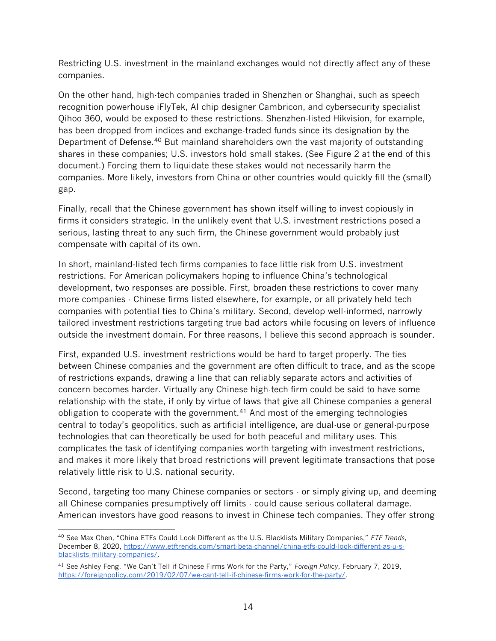Restricting U.S. investment in the mainland exchanges would not directly affect any of these companies.

On the other hand, high-tech companies traded in Shenzhen or Shanghai, such as speech recognition powerhouse iFlyTek, AI chip designer Cambricon, and cybersecurity specialist Qihoo 360, would be exposed to these restrictions. Shenzhen-listed Hikvision, for example, has been dropped from indices and exchange-traded funds since its designation by the Department of Defense.<sup>40</sup> But mainland shareholders own the vast majority of outstanding shares in these companies; U.S. investors hold small stakes. (See Figure 2 at the end of this document.) Forcing them to liquidate these stakes would not necessarily harm the companies. More likely, investors from China or other countries would quickly fill the (small) gap.

Finally, recall that the Chinese government has shown itself willing to invest copiously in firms it considers strategic. In the unlikely event that U.S. investment restrictions posed a serious, lasting threat to any such firm, the Chinese government would probably just compensate with capital of its own.

In short, mainland-listed tech firms companies to face little risk from U.S. investment restrictions. For American policymakers hoping to influence China's technological development, two responses are possible. First, broaden these restrictions to cover many more companies - Chinese firms listed elsewhere, for example, or all privately held tech companies with potential ties to China's military. Second, develop well-informed, narrowly tailored investment restrictions targeting true bad actors while focusing on levers of influence outside the investment domain. For three reasons, I believe this second approach is sounder.

First, expanded U.S. investment restrictions would be hard to target properly. The ties between Chinese companies and the government are often difficult to trace, and as the scope of restrictions expands, drawing a line that can reliably separate actors and activities of concern becomes harder. Virtually any Chinese high-tech firm could be said to have some relationship with the state, if only by virtue of laws that give all Chinese companies a general obligation to cooperate with the government.<sup>41</sup> And most of the emerging technologies central to today's geopolitics, such as artificial intelligence, are dual-use or general-purpose technologies that can theoretically be used for both peaceful and military uses. This complicates the task of identifying companies worth targeting with investment restrictions, and makes it more likely that broad restrictions will prevent legitimate transactions that pose relatively little risk to U.S. national security.

Second, targeting too many Chinese companies or sectors - or simply giving up, and deeming all Chinese companies presumptively off limits - could cause serious collateral damage. American investors have good reasons to invest in Chinese tech companies. They offer strong

<sup>40</sup> See Max Chen, "China ETFs Could Look Different as the U.S. Blacklists Military Companies," *ETF Trends*, December 8, 2020, [https://www.etftrends.com/smart-beta-channel/china-etfs-could-look-different-as-u-s](https://www.etftrends.com/smart-beta-channel/china-etfs-could-look-different-as-u-s-blacklists-military-companies/)[blacklists-military-companies/.](https://www.etftrends.com/smart-beta-channel/china-etfs-could-look-different-as-u-s-blacklists-military-companies/)

<sup>41</sup> See Ashley Feng, "We Can't Tell if Chinese Firms Work for the Party," *Foreign Policy*, February 7, 2019, [https://foreignpolicy.com/2019/02/07/we-cant-tell-if-chinese-firms-work-for-the-party/.](https://foreignpolicy.com/2019/02/07/we-cant-tell-if-chinese-firms-work-for-the-party/)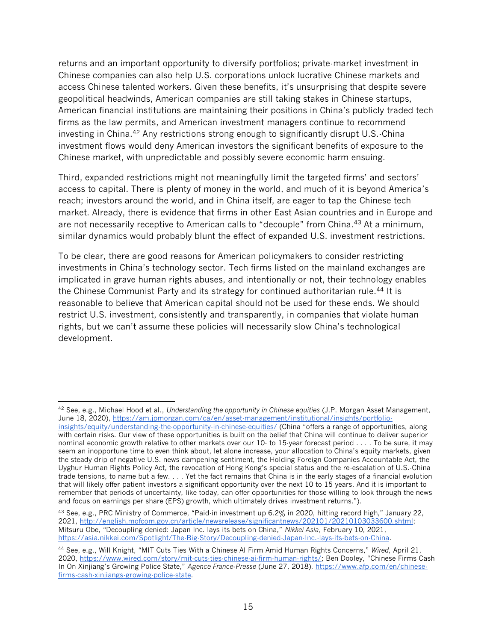returns and an important opportunity to diversify portfolios; private-market investment in Chinese companies can also help U.S. corporations unlock lucrative Chinese markets and access Chinese talented workers. Given these benefits, it's unsurprising that despite severe geopolitical headwinds, American companies are still taking stakes in Chinese startups, American financial institutions are maintaining their positions in China's publicly traded tech firms as the law permits, and American investment managers continue to recommend investing in China.<sup>42</sup> Any restrictions strong enough to significantly disrupt U.S. China investment flows would deny American investors the significant benefits of exposure to the Chinese market, with unpredictable and possibly severe economic harm ensuing.

Third, expanded restrictions might not meaningfully limit the targeted firms' and sectors' access to capital. There is plenty of money in the world, and much of it is beyond America's reach; investors around the world, and in China itself, are eager to tap the Chinese tech market. Already, there is evidence that firms in other East Asian countries and in Europe and are not necessarily receptive to American calls to "decouple" from China.<sup>43</sup> At a minimum, similar dynamics would probably blunt the effect of expanded U.S. investment restrictions.

To be clear, there are good reasons for American policymakers to consider restricting investments in China's technology sector. Tech firms listed on the mainland exchanges are implicated in grave human rights abuses, and intentionally or not, their technology enables the Chinese Communist Party and its strategy for continued authoritarian rule.<sup>44</sup> It is reasonable to believe that American capital should not be used for these ends. We should restrict U.S. investment, consistently and transparently, in companies that violate human rights, but we can't assume these policies will necessarily slow China's technological development.

<sup>42</sup> See, e.g., Michael Hood et al., *Understanding the opportunity in Chinese equities* (J.P. Morgan Asset Management, June 18, 2020), [https://am.jpmorgan.com/ca/en/asset-management/institutional/insights/portfolio-](https://am.jpmorgan.com/ca/en/asset-management/institutional/insights/portfolio-insights/equity/understanding-the-opportunity-in-chinese-equities/)

[insights/equity/understanding-the-opportunity-in-chinese-equities/](https://am.jpmorgan.com/ca/en/asset-management/institutional/insights/portfolio-insights/equity/understanding-the-opportunity-in-chinese-equities/) (China "offers a range of opportunities, along with certain risks. Our view of these opportunities is built on the belief that China will continue to deliver superior nominal economic growth relative to other markets over our 10- to 15-year forecast period . . . . To be sure, it may seem an inopportune time to even think about, let alone increase, your allocation to China's equity markets, given the steady drip of negative U.S. news dampening sentiment, the Holding Foreign Companies Accountable Act, the Uyghur Human Rights Policy Act, the revocation of Hong Kong's special status and the re-escalation of U.S.-China trade tensions, to name but a few. . . . Yet the fact remains that China is in the early stages of a financial evolution that will likely offer patient investors a significant opportunity over the next 10 to 15 years. And it is important to remember that periods of uncertainty, like today, can offer opportunities for those willing to look through the news and focus on earnings per share (EPS) growth, which ultimately drives investment returns.").

<sup>43</sup> See, e.g., PRC Ministry of Commerce, "Paid-in investment up 6.2% in 2020, hitting record high," January 22, 2021, [http://english.mofcom.gov.cn/article/newsrelease/significantnews/202101/20210103033600.shtml;](http://english.mofcom.gov.cn/article/newsrelease/significantnews/202101/20210103033600.shtml) Mitsuru Obe, "Decoupling denied: Japan Inc. lays its bets on China," *Nikkei Asia*, February 10, 2021, [https://asia.nikkei.com/Spotlight/The-Big-Story/Decoupling-denied-Japan-Inc.-lays-its-bets-on-China.](https://asia.nikkei.com/Spotlight/The-Big-Story/Decoupling-denied-Japan-Inc.-lays-its-bets-on-China)

<sup>44</sup> See, e.g., Will Knight, "MIT Cuts Ties With a Chinese AI Firm Amid Human Rights Concerns," *Wired*, April 21, 2020,<https://www.wired.com/story/mit-cuts-ties-chinese-ai-firm-human-rights/>; Ben Dooley, "Chinese Firms Cash In On Xinjiang's Growing Police State," *Agence France-Presse* (June 27, 2018), [https://www.afp.com/en/chinese](https://www.afp.com/en/chinese-firms-cash-xinjiangs-growing-police-state)[firms-cash-xinjiangs-growing-police-state.](https://www.afp.com/en/chinese-firms-cash-xinjiangs-growing-police-state)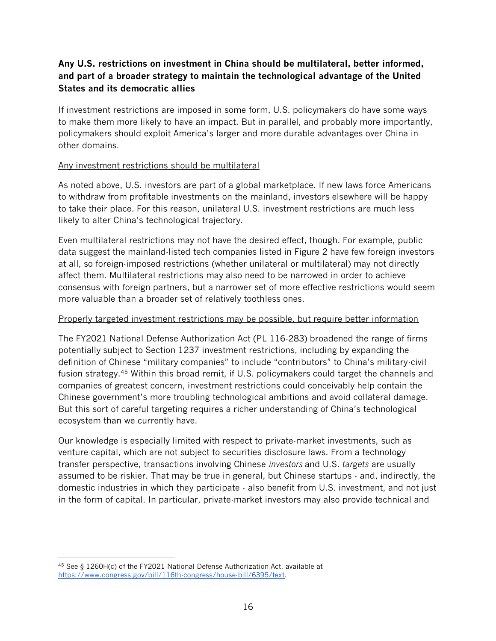## **Any U.S. restrictions on investment in China should be multilateral, better informed, and part of a broader strategy to maintain the technological advantage of the United States and its democratic allies**

If investment restrictions are imposed in some form, U.S. policymakers do have some ways to make them more likely to have an impact. But in parallel, and probably more importantly, policymakers should exploit America's larger and more durable advantages over China in other domains.

#### Any investment restrictions should be multilateral

As noted above, U.S. investors are part of a global marketplace. If new laws force Americans to withdraw from profitable investments on the mainland, investors elsewhere will be happy to take their place. For this reason, unilateral U.S. investment restrictions are much less likely to alter China's technological trajectory.

Even multilateral restrictions may not have the desired effect, though. For example, public data suggest the mainland-listed tech companies listed in Figure 2 have few foreign investors at all, so foreign-imposed restrictions (whether unilateral or multilateral) may not directly affect them. Multilateral restrictions may also need to be narrowed in order to achieve consensus with foreign partners, but a narrower set of more effective restrictions would seem more valuable than a broader set of relatively toothless ones.

#### Properly targeted investment restrictions may be possible, but require better information

The FY2021 National Defense Authorization Act (PL 116-283) broadened the range of firms potentially subject to Section 1237 investment restrictions, including by expanding the definition of Chinese "military companies" to include "contributors" to China's military-civil fusion strategy.<sup>45</sup> Within this broad remit, if U.S. policymakers could target the channels and companies of greatest concern, investment restrictions could conceivably help contain the Chinese government's more troubling technological ambitions and avoid collateral damage. But this sort of careful targeting requires a richer understanding of China's technological ecosystem than we currently have.

Our knowledge is especially limited with respect to private-market investments, such as venture capital, which are not subject to securities disclosure laws. From a technology transfer perspective, transactions involving Chinese *investors* and U.S. *targets* are usually assumed to be riskier. That may be true in general, but Chinese startups - and, indirectly, the domestic industries in which they participate - also benefit from U.S. investment, and not just in the form of capital. In particular, private-market investors may also provide technical and

<sup>45</sup> See § 1260H(c) of the FY2021 National Defense Authorization Act, available at [https://www.congress.gov/bill/116th-congress/house-bill/6395/text.](https://www.congress.gov/bill/116th-congress/house-bill/6395/text)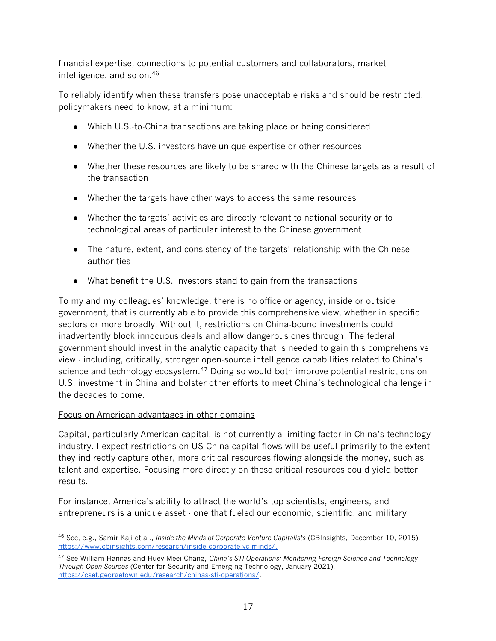financial expertise, connections to potential customers and collaborators, market intelligence, and so on.<sup>46</sup>

To reliably identify when these transfers pose unacceptable risks and should be restricted, policymakers need to know, at a minimum:

- Which U.S.-to-China transactions are taking place or being considered
- Whether the U.S. investors have unique expertise or other resources
- Whether these resources are likely to be shared with the Chinese targets as a result of the transaction
- Whether the targets have other ways to access the same resources
- Whether the targets' activities are directly relevant to national security or to technological areas of particular interest to the Chinese government
- The nature, extent, and consistency of the targets' relationship with the Chinese authorities
- What benefit the U.S. investors stand to gain from the transactions

To my and my colleagues' knowledge, there is no office or agency, inside or outside government, that is currently able to provide this comprehensive view, whether in specific sectors or more broadly. Without it, restrictions on China-bound investments could inadvertently block innocuous deals and allow dangerous ones through. The federal government should invest in the analytic capacity that is needed to gain this comprehensive view - including, critically, stronger open-source intelligence capabilities related to China's science and technology ecosystem.<sup>47</sup> Doing so would both improve potential restrictions on U.S. investment in China and bolster other efforts to meet China's technological challenge in the decades to come.

#### Focus on American advantages in other domains

Capital, particularly American capital, is not currently a limiting factor in China's technology industry. I expect restrictions on US-China capital flows will be useful primarily to the extent they indirectly capture other, more critical resources flowing alongside the money, such as talent and expertise. Focusing more directly on these critical resources could yield better results.

For instance, America's ability to attract the world's top scientists, engineers, and entrepreneurs is a unique asset - one that fueled our economic, scientific, and military

<sup>46</sup> See, e.g., Samir Kaji et al., *Inside the Minds of Corporate Venture Capitalists* (CBInsights, December 10, 2015), [https://www.cbinsights.com/research/inside-corporate-vc-minds/.](https://www.cbinsights.com/research/inside-corporate-vc-minds/)

<sup>47</sup> See William Hannas and Huey-Meei Chang, *China's STI Operations: Monitoring Foreign Science and Technology Through Open Sources* (Center for Security and Emerging Technology, January 2021), [https://cset.georgetown.edu/research/chinas-sti-operations/.](https://cset.georgetown.edu/research/chinas-sti-operations/)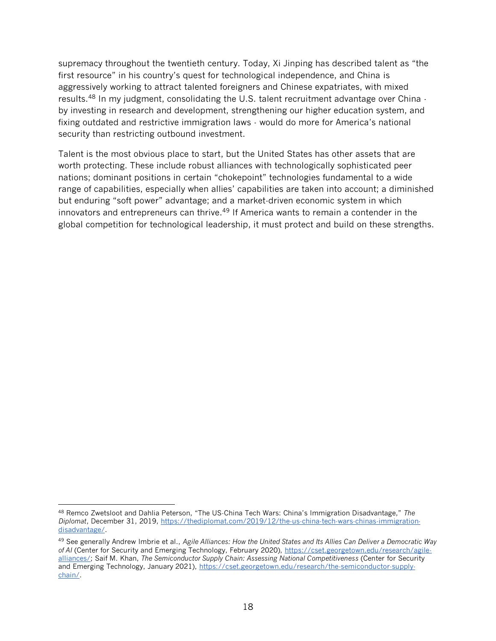supremacy throughout the twentieth century. Today, Xi Jinping has described talent as "the first resource" in his country's quest for technological independence, and China is aggressively working to attract talented foreigners and Chinese expatriates, with mixed results.<sup>48</sup> In my judgment, consolidating the U.S. talent recruitment advantage over China by investing in research and development, strengthening our higher education system, and fixing outdated and restrictive immigration laws - would do more for America's national security than restricting outbound investment.

Talent is the most obvious place to start, but the United States has other assets that are worth protecting. These include robust alliances with technologically sophisticated peer nations; dominant positions in certain "chokepoint" technologies fundamental to a wide range of capabilities, especially when allies' capabilities are taken into account; a diminished but enduring "soft power" advantage; and a market-driven economic system in which innovators and entrepreneurs can thrive.<sup>49</sup> If America wants to remain a contender in the global competition for technological leadership, it must protect and build on these strengths.

<sup>48</sup> Remco Zwetsloot and Dahlia Peterson, "The US-China Tech Wars: China's Immigration Disadvantage," *The Diplomat*, December 31, 2019, [https://thediplomat.com/2019/12/the-us-china-tech-wars-chinas-immigration](https://thediplomat.com/2019/12/the-us-china-tech-wars-chinas-immigration-disadvantage/)[disadvantage/.](https://thediplomat.com/2019/12/the-us-china-tech-wars-chinas-immigration-disadvantage/)

<sup>49</sup> See generally Andrew Imbrie et al., *Agile Alliances: How the United States and Its Allies Can Deliver a Democratic Way of AI* (Center for Security and Emerging Technology, February 2020), [https://cset.georgetown.edu/research/agile](https://cset.georgetown.edu/research/agile-alliances/)[alliances/;](https://cset.georgetown.edu/research/agile-alliances/) Saif M. Khan, *The Semiconductor Supply Chain: Assessing National Competitiveness* (Center for Security and Emerging Technology, January 2021), [https://cset.georgetown.edu/research/the-semiconductor-supply](https://cset.georgetown.edu/research/the-semiconductor-supply-chain/)[chain/.](https://cset.georgetown.edu/research/the-semiconductor-supply-chain/)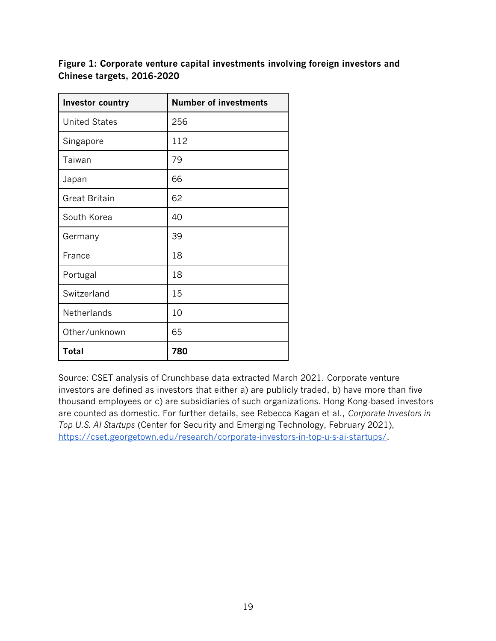**Figure 1: Corporate venture capital investments involving foreign investors and Chinese targets, 2016-2020**

| <b>Investor country</b> | <b>Number of investments</b> |  |
|-------------------------|------------------------------|--|
| <b>United States</b>    | 256                          |  |
| Singapore               | 112                          |  |
| Taiwan                  | 79                           |  |
| Japan                   | 66                           |  |
| <b>Great Britain</b>    | 62                           |  |
| South Korea             | 40                           |  |
| Germany                 | 39                           |  |
| France                  | 18                           |  |
| Portugal                | 18                           |  |
| Switzerland             | 15                           |  |
| <b>Netherlands</b>      | 10                           |  |
| Other/unknown           | 65                           |  |
| <b>Total</b>            | 780                          |  |

Source: CSET analysis of Crunchbase data extracted March 2021. Corporate venture investors are defined as investors that either a) are publicly traded, b) have more than five thousand employees or c) are subsidiaries of such organizations. Hong Kong-based investors are counted as domestic. For further details, see Rebecca Kagan et al., *Corporate Investors in Top U.S. AI Startups* (Center for Security and Emerging Technology, February 2021), [https://cset.georgetown.edu/research/corporate-investors-in-top-u-s-ai-startups/.](https://cset.georgetown.edu/research/corporate-investors-in-top-u-s-ai-startups/)